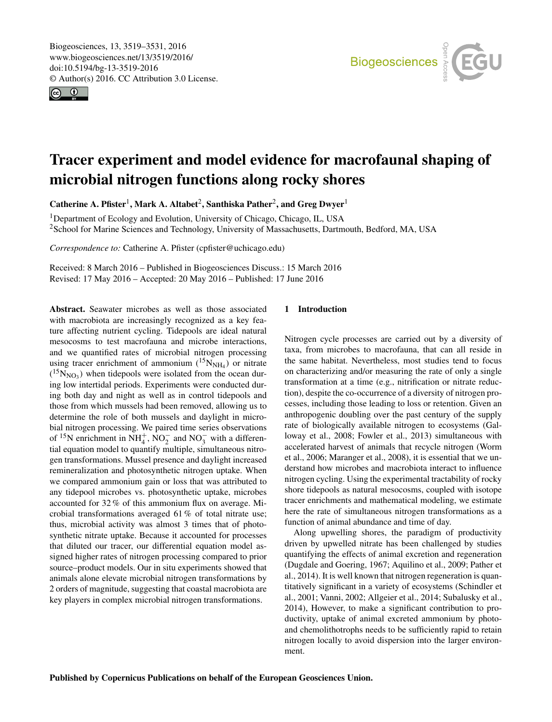<span id="page-0-1"></span>Biogeosciences, 13, 3519–3531, 2016 www.biogeosciences.net/13/3519/2016/ doi:10.5194/bg-13-3519-2016 © Author(s) 2016. CC Attribution 3.0 License.





# Tracer experiment and model evidence for macrofaunal shaping of microbial nitrogen functions along rocky shores

Catherine A. Pfister<sup>[1](#page-0-0)</sup>, Mark A. Altabet<sup>[2](#page-0-0)</sup>, Santhiska Pather<sup>2</sup>, and Greg Dwyer<sup>1</sup>

<sup>1</sup>Department of Ecology and Evolution, University of Chicago, Chicago, IL, USA <sup>2</sup>School for Marine Sciences and Technology, University of Massachusetts, Dartmouth, Bedford, MA, USA

*Correspondence to:* Catherine A. Pfister (cpfister@uchicago.edu)

Received: 8 March 2016 – Published in Biogeosciences Discuss.: 15 March 2016 Revised: 17 May 2016 – Accepted: 20 May 2016 – Published: 17 June 2016

<span id="page-0-0"></span>Abstract. Seawater microbes as well as those associated with macrobiota are increasingly recognized as a key feature affecting nutrient cycling. Tidepools are ideal natural mesocosms to test macrofauna and microbe interactions, and we quantified rates of microbial nitrogen processing using tracer enrichment of ammonium  $(^{15}N_{NH_4})$  or nitrate  $(^{15}N_{NO_3})$  when tidepools were isolated from the ocean during low intertidal periods. Experiments were conducted during both day and night as well as in control tidepools and those from which mussels had been removed, allowing us to determine the role of both mussels and daylight in microbial nitrogen processing. We paired time series observations of <sup>15</sup>N enrichment in NH<sup>+</sup><sub>4</sub>, NO<sub>2</sub><sup>-</sup> and NO<sub>3</sub><sup>-</sup> with a differential equation model to quantify multiple, simultaneous nitrogen transformations. Mussel presence and daylight increased remineralization and photosynthetic nitrogen uptake. When we compared ammonium gain or loss that was attributed to any tidepool microbes vs. photosynthetic uptake, microbes accounted for 32 % of this ammonium flux on average. Microbial transformations averaged 61 % of total nitrate use; thus, microbial activity was almost 3 times that of photosynthetic nitrate uptake. Because it accounted for processes that diluted our tracer, our differential equation model assigned higher rates of nitrogen processing compared to prior source–product models. Our in situ experiments showed that animals alone elevate microbial nitrogen transformations by 2 orders of magnitude, suggesting that coastal macrobiota are key players in complex microbial nitrogen transformations.

### 1 Introduction

Nitrogen cycle processes are carried out by a diversity of taxa, from microbes to macrofauna, that can all reside in the same habitat. Nevertheless, most studies tend to focus on characterizing and/or measuring the rate of only a single transformation at a time (e.g., nitrification or nitrate reduction), despite the co-occurrence of a diversity of nitrogen processes, including those leading to loss or retention. Given an anthropogenic doubling over the past century of the supply rate of biologically available nitrogen to ecosystems (Galloway et al., 2008; Fowler et al., 2013) simultaneous with accelerated harvest of animals that recycle nitrogen (Worm et al., 2006; Maranger et al., 2008), it is essential that we understand how microbes and macrobiota interact to influence nitrogen cycling. Using the experimental tractability of rocky shore tidepools as natural mesocosms, coupled with isotope tracer enrichments and mathematical modeling, we estimate here the rate of simultaneous nitrogen transformations as a function of animal abundance and time of day.

Along upwelling shores, the paradigm of productivity driven by upwelled nitrate has been challenged by studies quantifying the effects of animal excretion and regeneration (Dugdale and Goering, 1967; Aquilino et al., 2009; Pather et al., 2014). It is well known that nitrogen regeneration is quantitatively significant in a variety of ecosystems (Schindler et al., 2001; Vanni, 2002; Allgeier et al., 2014; Subalusky et al., 2014), However, to make a significant contribution to productivity, uptake of animal excreted ammonium by photoand chemolithotrophs needs to be sufficiently rapid to retain nitrogen locally to avoid dispersion into the larger environment.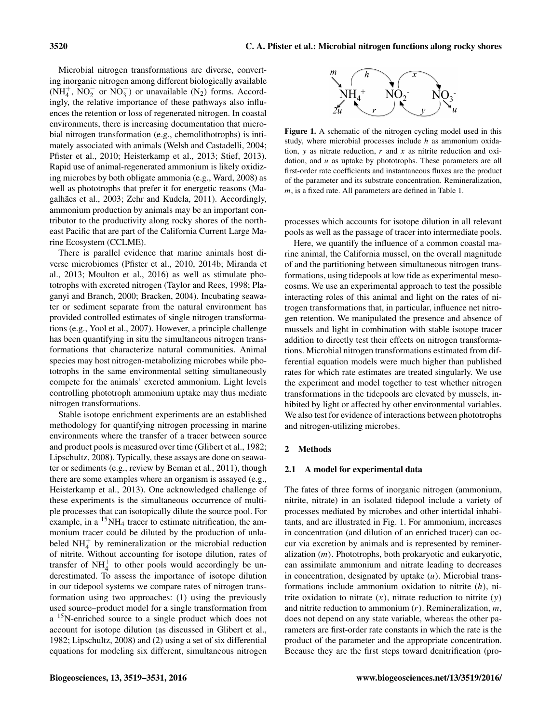Microbial nitrogen transformations are diverse, converting inorganic nitrogen among different biologically available  $(NH_4^+$ ,  $NO_2^-$  or  $NO_3^-$ ) or unavailable  $(N_2)$  forms. Accordingly, the relative importance of these pathways also influences the retention or loss of regenerated nitrogen. In coastal environments, there is increasing documentation that microbial nitrogen transformation (e.g., chemolithotrophs) is intimately associated with animals (Welsh and Castadelli, 2004; Pfister et al., 2010; Heisterkamp et al., 2013; Stief, 2013). Rapid use of animal-regenerated ammonium is likely oxidizing microbes by both obligate ammonia (e.g., Ward, 2008) as well as phototrophs that prefer it for energetic reasons (Magalhães et al., 2003; Zehr and Kudela, 2011). Accordingly, ammonium production by animals may be an important contributor to the productivity along rocky shores of the northeast Pacific that are part of the California Current Large Marine Ecosystem (CCLME).

There is parallel evidence that marine animals host diverse microbiomes (Pfister et al., 2010, 2014b; Miranda et al., 2013; Moulton et al., 2016) as well as stimulate phototrophs with excreted nitrogen (Taylor and Rees, 1998; Plaganyi and Branch, 2000; Bracken, 2004). Incubating seawater or sediment separate from the natural environment has provided controlled estimates of single nitrogen transformations (e.g., Yool et al., 2007). However, a principle challenge has been quantifying in situ the simultaneous nitrogen transformations that characterize natural communities. Animal species may host nitrogen-metabolizing microbes while phototrophs in the same environmental setting simultaneously compete for the animals' excreted ammonium. Light levels controlling phototroph ammonium uptake may thus mediate nitrogen transformations.

Stable isotope enrichment experiments are an established methodology for quantifying nitrogen processing in marine environments where the transfer of a tracer between source and product pools is measured over time (Glibert et al., 1982; Lipschultz, 2008). Typically, these assays are done on seawater or sediments (e.g., review by Beman et al., 2011), though there are some examples where an organism is assayed (e.g., Heisterkamp et al., 2013). One acknowledged challenge of these experiments is the simultaneous occurrence of multiple processes that can isotopically dilute the source pool. For example, in a  ${}^{15}NH_4$  tracer to estimate nitrification, the ammonium tracer could be diluted by the production of unlabeled  $NH<sub>4</sub><sup>+</sup>$  by remineralization or the microbial reduction of nitrite. Without accounting for isotope dilution, rates of transfer of  $NH<sub>4</sub><sup>+</sup>$  to other pools would accordingly be underestimated. To assess the importance of isotope dilution in our tidepool systems we compare rates of nitrogen transformation using two approaches: (1) using the previously used source–product model for a single transformation from a <sup>15</sup>N-enriched source to a single product which does not account for isotope dilution (as discussed in Glibert et al., 1982; Lipschultz, 2008) and (2) using a set of six differential equations for modeling six different, simultaneous nitrogen



Figure 1. A schematic of the nitrogen cycling model used in this study, where microbial processes include  $h$  as ammonium oxidation,  $y$  as nitrate reduction,  $r$  and  $x$  as nitrite reduction and oxidation, and  $u$  as uptake by phototrophs. These parameters are all first-order rate coefficients and instantaneous fluxes are the product of the parameter and its substrate concentration. Remineralization, m, is a fixed rate. All parameters are defined in Table 1.

processes which accounts for isotope dilution in all relevant pools as well as the passage of tracer into intermediate pools.

Here, we quantify the influence of a common coastal marine animal, the California mussel, on the overall magnitude of and the partitioning between simultaneous nitrogen transformations, using tidepools at low tide as experimental mesocosms. We use an experimental approach to test the possible interacting roles of this animal and light on the rates of nitrogen transformations that, in particular, influence net nitrogen retention. We manipulated the presence and absence of mussels and light in combination with stable isotope tracer addition to directly test their effects on nitrogen transformations. Microbial nitrogen transformations estimated from differential equation models were much higher than published rates for which rate estimates are treated singularly. We use the experiment and model together to test whether nitrogen transformations in the tidepools are elevated by mussels, inhibited by light or affected by other environmental variables. We also test for evidence of interactions between phototrophs and nitrogen-utilizing microbes.

#### 2 Methods

#### 2.1 A model for experimental data

The fates of three forms of inorganic nitrogen (ammonium, nitrite, nitrate) in an isolated tidepool include a variety of processes mediated by microbes and other intertidal inhabitants, and are illustrated in Fig. 1. For ammonium, increases in concentration (and dilution of an enriched tracer) can occur via excretion by animals and is represented by remineralization (m). Phototrophs, both prokaryotic and eukaryotic, can assimilate ammonium and nitrate leading to decreases in concentration, designated by uptake  $(u)$ . Microbial transformations include ammonium oxidation to nitrite  $(h)$ , nitrite oxidation to nitrate  $(x)$ , nitrate reduction to nitrite  $(y)$ and nitrite reduction to ammonium  $(r)$ . Remineralization,  $m$ , does not depend on any state variable, whereas the other parameters are first-order rate constants in which the rate is the product of the parameter and the appropriate concentration. Because they are the first steps toward denitrification (pro-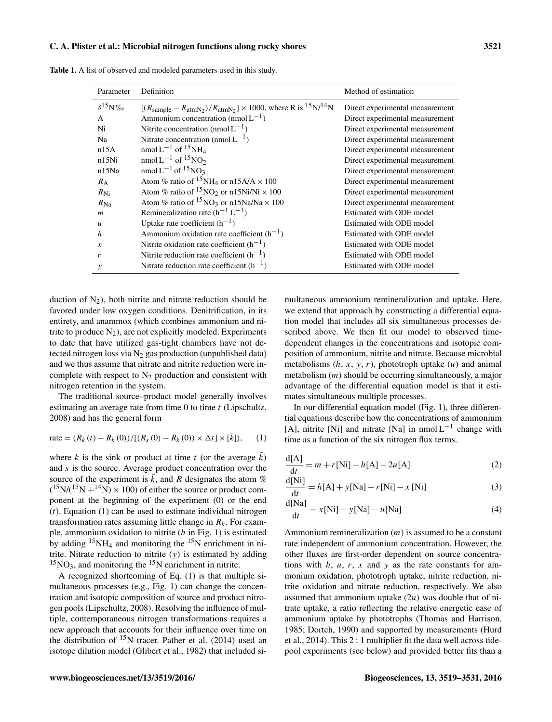#### C. A. Pfister et al.: Microbial nitrogen functions along rocky shores 3521

| Parameter         | Definition                                                                                                        | Method of estimation            |
|-------------------|-------------------------------------------------------------------------------------------------------------------|---------------------------------|
| $\delta^{15}$ N%o | $[(R_{\text{sample}} - R_{\text{atmN}_2})/R_{\text{atmN}_2}] \times 1000$ , where R is $^{15}$ N/ <sup>14</sup> N | Direct experimental measurement |
| A                 | Ammonium concentration (nmol $L^{-1}$ )                                                                           | Direct experimental measurement |
| Ni                | Nitrite concentration (nmol $L^{-1}$ )                                                                            | Direct experimental measurement |
| Na                | Nitrate concentration (nmol $L^{-1}$ )                                                                            | Direct experimental measurement |
| n15A              | $nmol L^{-1}$ of <sup>15</sup> NH <sub>4</sub>                                                                    | Direct experimental measurement |
| n15Ni             | nmol $L^{-1}$ of $15NO2$                                                                                          | Direct experimental measurement |
| n15Na             | nmol L <sup>-1</sup> of <sup>15</sup> NO <sub>3</sub>                                                             | Direct experimental measurement |
| $R_{\rm A}$       | Atom % ratio of <sup>15</sup> NH <sub>4</sub> or n15A/A $\times$ 100                                              | Direct experimental measurement |
| $R_{\rm Ni}$      | Atom % ratio of ${}^{15}NO_2$ or n15Ni/Ni $\times 100$                                                            | Direct experimental measurement |
| $R_{\rm Na}$      | Atom % ratio of ${}^{15}NO_3$ or n15Na/Na $\times$ 100                                                            | Direct experimental measurement |
| $\boldsymbol{m}$  | Remineralization rate $(h^{-1}L^{-1})$                                                                            | Estimated with ODE model        |
| $\boldsymbol{u}$  | Uptake rate coefficient $(h^{-1})$                                                                                | Estimated with ODE model        |
| h                 | Ammonium oxidation rate coefficient $(h^{-1})$                                                                    | Estimated with ODE model        |
| $\mathcal{X}$     | Nitrite oxidation rate coefficient $(h^{-1})$                                                                     | Estimated with ODE model        |
| r                 | Nitrite reduction rate coefficient $(h^{-1})$                                                                     | Estimated with ODE model        |
| у                 | Nitrate reduction rate coefficient $(h^{-1})$                                                                     | Estimated with ODE model        |

Table 1. A list of observed and modeled parameters used in this study.

duction of  $N_2$ ), both nitrite and nitrate reduction should be favored under low oxygen conditions. Denitrification, in its entirety, and anammox (which combines ammonium and nitrite to produce  $N_2$ ), are not explicitly modeled. Experiments to date that have utilized gas-tight chambers have not detected nitrogen loss via  $N_2$  gas production (unpublished data) and we thus assume that nitrate and nitrite reduction were incomplete with respect to  $N_2$  production and consistent with nitrogen retention in the system.

The traditional source–product model generally involves estimating an average rate from time  $0$  to time  $t$  (Lipschultz, 2008) and has the general form

rate = 
$$
(R_k(t) - R_k(0)) / [(R_s(0) - R_k(0)) \times \Delta t] \times [\bar{k}]),
$$
 (1)

where k is the sink or product at time t (or the average k) and  $s$  is the source. Average product concentration over the source of the experiment is  $\bar{k}$ , and R designates the atom %  $(^{15}N/(^{15}N + ^{14}N) \times 100)$  of either the source or product component at the beginning of the experiment (0) or the end  $(t)$ . Equation  $(1)$  can be used to estimate individual nitrogen transformation rates assuming little change in  $R_k$ . For example, ammonium oxidation to nitrite  $(h \text{ in Fig. 1})$  is estimated by adding  $15NH_4$  and monitoring the  $15N$  enrichment in nitrite. Nitrate reduction to nitrite (y) is estimated by adding  $15NO<sub>3</sub>$ , and monitoring the  $15N$  enrichment in nitrite.

A recognized shortcoming of Eq. (1) is that multiple simultaneous processes (e.g., Fig. 1) can change the concentration and isotopic composition of source and product nitrogen pools (Lipschultz, 2008). Resolving the influence of multiple, contemporaneous nitrogen transformations requires a new approach that accounts for their influence over time on the distribution of  $15N$  tracer. Pather et al. (2014) used an isotope dilution model (Glibert et al., 1982) that included simultaneous ammonium remineralization and uptake. Here, we extend that approach by constructing a differential equation model that includes all six simultaneous processes described above. We then fit our model to observed timedependent changes in the concentrations and isotopic composition of ammonium, nitrite and nitrate. Because microbial metabolisms  $(h, x, y, r)$ , phototroph uptake  $(u)$  and animal metabolism  $(m)$  should be occurring simultaneously, a major advantage of the differential equation model is that it estimates simultaneous multiple processes.

In our differential equation model (Fig. 1), three differential equations describe how the concentrations of ammonium [A], nitrite [Ni] and nitrate [Na] in nmol  $L^{-1}$  change with time as a function of the six nitrogen flux terms.

$$
\frac{d[A]}{dt} = m + r[Ni] - h[A] - 2u[A]
$$
 (2)

$$
\frac{d[Ni]}{dt} = h[A] + y[Na] - r[Ni] - x[Ni]
$$
\n(3)

$$
\frac{d[Na]}{dt} = x[Ni] - y[Na] - u[Na]
$$
\n(4)

Ammonium remineralization  $(m)$  is assumed to be a constant rate independent of ammonium concentration. However, the other fluxes are first-order dependent on source concentrations with  $h$ ,  $u$ ,  $r$ ,  $x$  and  $y$  as the rate constants for ammonium oxidation, phototroph uptake, nitrite reduction, nitrite oxidation and nitrate reduction, respectively. We also assumed that ammonium uptake  $(2u)$  was double that of nitrate uptake, a ratio reflecting the relative energetic ease of ammonium uptake by phototrophs (Thomas and Harrison, 1985; Dortch, 1990) and supported by measurements (Hurd et al., 2014). This 2 : 1 multiplier fit the data well across tidepool experiments (see below) and provided better fits than a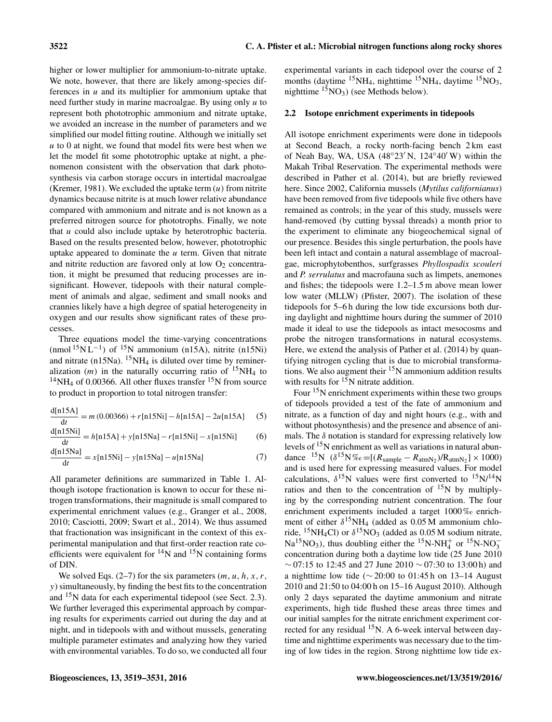higher or lower multiplier for ammonium-to-nitrate uptake. We note, however, that there are likely among-species differences in  $u$  and its multiplier for ammonium uptake that need further study in marine macroalgae. By using only  $u$  to represent both phototrophic ammonium and nitrate uptake, we avoided an increase in the number of parameters and we simplified our model fitting routine. Although we initially set  $u$  to 0 at night, we found that model fits were best when we let the model fit some phototrophic uptake at night, a phenomenon consistent with the observation that dark photosynthesis via carbon storage occurs in intertidal macroalgae (Kremer, 1981). We excluded the uptake term  $(u)$  from nitrite dynamics because nitrite is at much lower relative abundance compared with ammonium and nitrate and is not known as a preferred nitrogen source for phototrophs. Finally, we note that u could also include uptake by heterotrophic bacteria. Based on the results presented below, however, phototrophic uptake appeared to dominate the  $u$  term. Given that nitrate and nitrite reduction are favored only at low  $O<sub>2</sub>$  concentration, it might be presumed that reducing processes are insignificant. However, tidepools with their natural complement of animals and algae, sediment and small nooks and crannies likely have a high degree of spatial heterogeneity in oxygen and our results show significant rates of these processes.

Three equations model the time-varying concentrations (nmol<sup>15</sup>N L<sup>-1</sup>) of <sup>15</sup>N ammonium (n15A), nitrite (n15Ni) and nitrate (n15Na).  $15NH_4$  is diluted over time by remineralization  $(m)$  in the naturally occurring ratio of <sup>15</sup>NH<sub>4</sub> to  $14$ NH<sub>4</sub> of 0.00366. All other fluxes transfer  $15$ N from source to product in proportion to total nitrogen transfer:

 $\frac{d[n15A]}{dt} = m(0.00366) + r[n15Ni] - h[n15A] - 2u[n15A]$  (5) dt

$$
\frac{d[n15Ni]}{dt} = h[n15A] + y[n15Na] - r[n15Ni] - x[n15Ni] \tag{6}
$$

$$
\frac{d[n15Na]}{dt} = x[n15Ni] - y[n15Na] - u[n15Na]
$$
 (7)

All parameter definitions are summarized in Table 1. Although isotope fractionation is known to occur for these nitrogen transformations, their magnitude is small compared to experimental enrichment values (e.g., Granger et al., 2008, 2010; Casciotti, 2009; Swart et al., 2014). We thus assumed that fractionation was insignificant in the context of this experimental manipulation and that first-order reaction rate coefficients were equivalent for  $^{14}$ N and  $^{15}$ N containing forms of DIN.

We solved Eqs. (2–7) for the six parameters  $(m, u, h, x, r,$ y) simultaneously, by finding the best fits to the concentration and <sup>15</sup>N data for each experimental tidepool (see Sect. 2.3). We further leveraged this experimental approach by comparing results for experiments carried out during the day and at night, and in tidepools with and without mussels, generating multiple parameter estimates and analyzing how they varied with environmental variables. To do so, we conducted all four experimental variants in each tidepool over the course of 2 months (daytime  ${}^{15}NH_4$ , nighttime  ${}^{15}NH_4$ , daytime  ${}^{15}NO_3$ , nighttime  $15NO_3$ ) (see Methods below).

#### 2.2 Isotope enrichment experiments in tidepools

All isotope enrichment experiments were done in tidepools at Second Beach, a rocky north-facing bench 2 km east of Neah Bay, WA, USA  $(48°23' N, 124°40' W)$  within the Makah Tribal Reservation. The experimental methods were described in Pather et al. (2014), but are briefly reviewed here. Since 2002, California mussels (*Mytilus californianus*) have been removed from five tidepools while five others have remained as controls; in the year of this study, mussels were hand-removed (by cutting byssal threads) a month prior to the experiment to eliminate any biogeochemical signal of our presence. Besides this single perturbation, the pools have been left intact and contain a natural assemblage of macroalgae, microphytobenthos, surfgrasses *Phyllospadix scouleri* and *P. serrulatus* and macrofauna such as limpets, anemones and fishes; the tidepools were 1.2–1.5 m above mean lower low water (MLLW) (Pfister, 2007). The isolation of these tidepools for 5–6 h during the low tide excursions both during daylight and nighttime hours during the summer of 2010 made it ideal to use the tidepools as intact mesocosms and probe the nitrogen transformations in natural ecosystems. Here, we extend the analysis of Pather et al. (2014) by quantifying nitrogen cycling that is due to microbial transformations. We also augment their  $15N$  ammonium addition results with results for  $15N$  nitrate addition.

Four  $15N$  enrichment experiments within these two groups of tidepools provided a test of the fate of ammonium and nitrate, as a function of day and night hours (e.g., with and without photosynthesis) and the presence and absence of animals. The  $\delta$  notation is standard for expressing relatively low levels of  $15N$  enrichment as well as variations in natural abundance <sup>15</sup>N  $(\delta^{15}N\% \circ=[(R_{sample} - R_{atmN_2})/R_{atmN_2}] \times 1000)$ and is used here for expressing measured values. For model calculations,  $\delta^{15}N$  values were first converted to  $^{15}N/^{14}N$ ratios and then to the concentration of  $^{15}N$  by multiplying by the corresponding nutrient concentration. The four enrichment experiments included a target 1000‰ enrichment of either  $\delta^{15}NH_4$  (added as 0.05 M ammonium chloride, <sup>15</sup>NH<sub>4</sub>Cl) or  $\delta^{15}$ NO<sub>3</sub> (added as 0.05 M sodium nitrate,  $Na^{15}NO_3$ ), thus doubling either the <sup>15</sup>N-NH<sub>4</sub><sup>+</sup> or <sup>15</sup>N-NO<sub>3</sub><sup>-</sup> concentration during both a daytime low tide (25 June 2010 ∼ 07:15 to 12:45 and 27 June 2010 ∼ 07:30 to 13:00 h) and a nighttime low tide (∼ 20:00 to 01:45 h on 13–14 August 2010 and 21:50 to 04:00 h on 15–16 August 2010). Although only 2 days separated the daytime ammonium and nitrate experiments, high tide flushed these areas three times and our initial samples for the nitrate enrichment experiment corrected for any residual  $15N$ . A 6-week interval between daytime and nighttime experiments was necessary due to the timing of low tides in the region. Strong nighttime low tide ex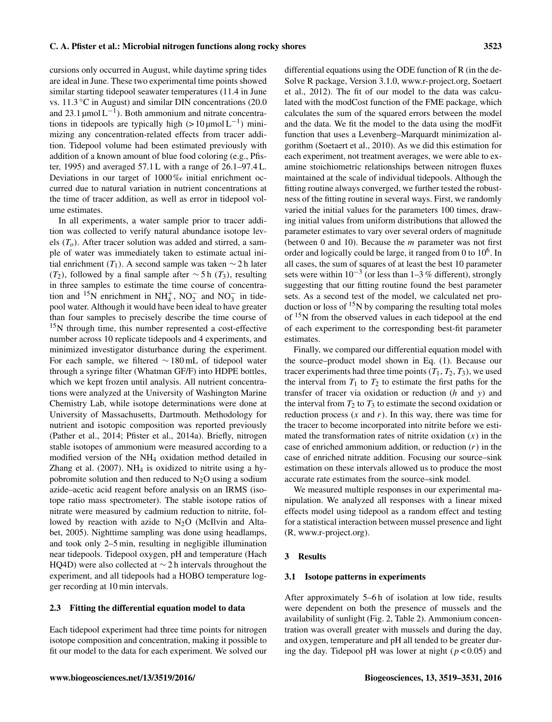cursions only occurred in August, while daytime spring tides are ideal in June. These two experimental time points showed similar starting tidepool seawater temperatures (11.4 in June vs. 11.3 ◦C in August) and similar DIN concentrations (20.0 and 23.1  $\mu$ mol L<sup>-1</sup>). Both ammonium and nitrate concentrations in tidepools are typically high  $(> 10 \,\mu\text{mol L}^{-1})$  minimizing any concentration-related effects from tracer addition. Tidepool volume had been estimated previously with addition of a known amount of blue food coloring (e.g., Pfister, 1995) and averaged 57.1 L with a range of 26.1–97.4 L. Deviations in our target of 1000 ‰ initial enrichment occurred due to natural variation in nutrient concentrations at the time of tracer addition, as well as error in tidepool volume estimates.

In all experiments, a water sample prior to tracer addition was collected to verify natural abundance isotope levels  $(T<sub>o</sub>)$ . After tracer solution was added and stirred, a sample of water was immediately taken to estimate actual initial enrichment (T<sub>1</sub>). A second sample was taken ∼ 2 h later (T<sub>2</sub>), followed by a final sample after  $\sim$  5 h (T<sub>3</sub>), resulting in three samples to estimate the time course of concentration and <sup>15</sup>N enrichment in NH<sup>+</sup><sub>4</sub>, NO<sub>2</sub><sup>-</sup> and NO<sub>3</sub><sup>-</sup> in tidepool water. Although it would have been ideal to have greater than four samples to precisely describe the time course of <sup>15</sup>N through time, this number represented a cost-effective number across 10 replicate tidepools and 4 experiments, and minimized investigator disturbance during the experiment. For each sample, we filtered  $\sim$  180 mL of tidepool water through a syringe filter (Whatman GF/F) into HDPE bottles, which we kept frozen until analysis. All nutrient concentrations were analyzed at the University of Washington Marine Chemistry Lab, while isotope determinations were done at University of Massachusetts, Dartmouth. Methodology for nutrient and isotopic composition was reported previously (Pather et al., 2014; Pfister et al., 2014a). Briefly, nitrogen stable isotopes of ammonium were measured according to a modified version of the NH<sup>4</sup> oxidation method detailed in Zhang et al.  $(2007)$ . NH<sub>4</sub> is oxidized to nitrite using a hypobromite solution and then reduced to  $N_2O$  using a sodium azide–acetic acid reagent before analysis on an IRMS (isotope ratio mass spectrometer). The stable isotope ratios of nitrate were measured by cadmium reduction to nitrite, followed by reaction with azide to  $N_2O$  (McIlvin and Altabet, 2005). Nighttime sampling was done using headlamps, and took only 2–5 min, resulting in negligible illumination near tidepools. Tidepool oxygen, pH and temperature (Hach HQ4D) were also collected at  $\sim$  2 h intervals throughout the experiment, and all tidepools had a HOBO temperature logger recording at 10 min intervals.

## 2.3 Fitting the differential equation model to data

Each tidepool experiment had three time points for nitrogen isotope composition and concentration, making it possible to fit our model to the data for each experiment. We solved our differential equations using the ODE function of R (in the de-Solve R package, Version 3.1.0, [www.r-project.org,](www.r-project.org) Soetaert et al., 2012). The fit of our model to the data was calculated with the modCost function of the FME package, which calculates the sum of the squared errors between the model and the data. We fit the model to the data using the modFit function that uses a Levenberg–Marquardt minimization algorithm (Soetaert et al., 2010). As we did this estimation for each experiment, not treatment averages, we were able to examine stoichiometric relationships between nitrogen fluxes maintained at the scale of individual tidepools. Although the fitting routine always converged, we further tested the robustness of the fitting routine in several ways. First, we randomly varied the initial values for the parameters 100 times, drawing initial values from uniform distributions that allowed the parameter estimates to vary over several orders of magnitude (between 0 and 10). Because the  $m$  parameter was not first order and logically could be large, it ranged from 0 to  $10^6$ . In all cases, the sum of squares of at least the best 10 parameter sets were within  $10^{-3}$  (or less than 1–3 % different), strongly suggesting that our fitting routine found the best parameter sets. As a second test of the model, we calculated net production or loss of  $^{15}N$  by comparing the resulting total moles of <sup>15</sup>N from the observed values in each tidepool at the end of each experiment to the corresponding best-fit parameter estimates.

Finally, we compared our differential equation model with the source–product model shown in Eq. (1). Because our tracer experiments had three time points  $(T_1, T_2, T_3)$ , we used the interval from  $T_1$  to  $T_2$  to estimate the first paths for the transfer of tracer via oxidation or reduction  $(h$  and  $y)$  and the interval from  $T_2$  to  $T_3$  to estimate the second oxidation or reduction process  $(x \text{ and } r)$ . In this way, there was time for the tracer to become incorporated into nitrite before we estimated the transformation rates of nitrite oxidation  $(x)$  in the case of enriched ammonium addition, or reduction  $(r)$  in the case of enriched nitrate addition. Focusing our source–sink estimation on these intervals allowed us to produce the most accurate rate estimates from the source–sink model.

We measured multiple responses in our experimental manipulation. We analyzed all responses with a linear mixed effects model using tidepool as a random effect and testing for a statistical interaction between mussel presence and light (R, [www.r-project.org\)](www.r-project.org).

#### 3 Results

#### 3.1 Isotope patterns in experiments

After approximately 5–6 h of isolation at low tide, results were dependent on both the presence of mussels and the availability of sunlight (Fig. 2, Table 2). Ammonium concentration was overall greater with mussels and during the day, and oxygen, temperature and pH all tended to be greater during the day. Tidepool pH was lower at night ( $p < 0.05$ ) and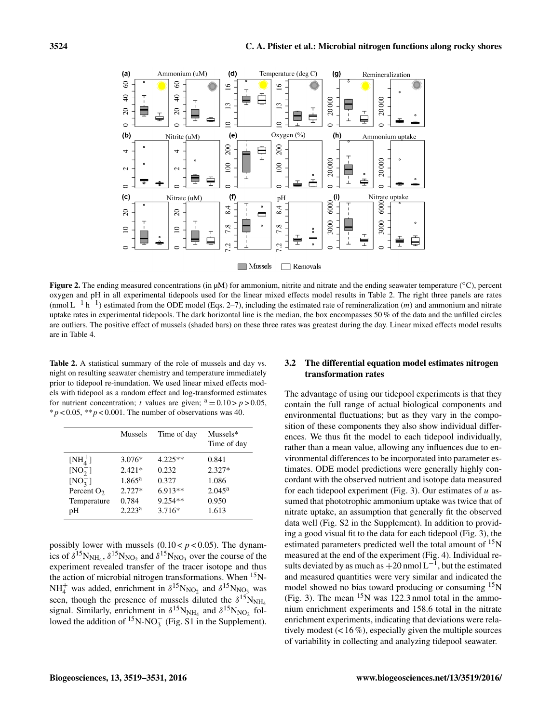

Figure 2. The ending measured concentrations (in µM) for ammonium, nitrite and nitrate and the ending seawater temperature (°C), percent oxygen and pH in all experimental tidepools used for the linear mixed effects model results in Table 2. The right three panels are rates  $(\text{mmol L}^{-1} h^{-1})$  estimated from the ODE model (Eqs. 2–7), including the estimated rate of remineralization  $(m)$  and ammonium and nitrate uptake rates in experimental tidepools. The dark horizontal line is the median, the box encompasses 50 % of the data and the unfilled circles are outliers. The positive effect of mussels (shaded bars) on these three rates was greatest during the day. Linear mixed effects model results are in Table 4.

Table 2. A statistical summary of the role of mussels and day vs. night on resulting seawater chemistry and temperature immediately prior to tidepool re-inundation. We used linear mixed effects models with tidepool as a random effect and log-transformed estimates for nutrient concentration; t values are given;  $a = 0.10 > p > 0.05$ ,  $* p < 0.05$ ,  $* p < 0.001$ . The number of observations was 40.

|               | Mussels            | Time of day | Mussels*<br>Time of day |
|---------------|--------------------|-------------|-------------------------|
| $[NH4+]$      | $3.076*$           | $4.225**$   | 0.841                   |
| $[NO2$ ]      | $2.421*$           | 0.232       | $2.327*$                |
| $[NO_3^-]$    | $1.865^{\rm a}$    | 0.327       | 1.086                   |
| Percent $O_2$ | $2.727*$           | $6.913**$   | $2.045^{\rm a}$         |
| Temperature   | 0.784              | $9.254**$   | 0.950                   |
| pH            | 2.223 <sup>a</sup> | 3.716*      | 1.613                   |

possibly lower with mussels  $(0.10 < p < 0.05)$ . The dynamics of  $\delta^{15}N_{NH_4}$ ,  $\delta^{15}N_{NO_2}$  and  $\delta^{15}N_{NO_3}$  over the course of the experiment revealed transfer of the tracer isotope and thus the action of microbial nitrogen transformations. When  $15$ N- $NH_4^+$  was added, enrichment in  $\delta^{15}N_{NO_2}$  and  $\delta^{15}N_{NO_3}$  was seen, though the presence of mussels diluted the  $\delta^{15}$ N<sub>NH4</sub> signal. Similarly, enrichment in  $\delta^{15}N_{NH_4}$  and  $\delta^{15}N_{NO_2}$  followed the addition of <sup>15</sup>N-NO<sub>3</sub><sup> $\overline{15}$ </sup>(Fig. S1 in the Supplement).

## 3.2 The differential equation model estimates nitrogen transformation rates

The advantage of using our tidepool experiments is that they contain the full range of actual biological components and environmental fluctuations; but as they vary in the composition of these components they also show individual differences. We thus fit the model to each tidepool individually, rather than a mean value, allowing any influences due to environmental differences to be incorporated into parameter estimates. ODE model predictions were generally highly concordant with the observed nutrient and isotope data measured for each tidepool experiment (Fig. 3). Our estimates of  $u$  assumed that phototrophic ammonium uptake was twice that of nitrate uptake, an assumption that generally fit the observed data well (Fig. S2 in the Supplement). In addition to providing a good visual fit to the data for each tidepool (Fig. 3), the estimated parameters predicted well the total amount of  $\rm^{15}N$ measured at the end of the experiment (Fig. 4). Individual results deviated by as much as  $+20$  nmol L<sup>-1</sup>, but the estimated and measured quantities were very similar and indicated the model showed no bias toward producing or consuming <sup>15</sup>N (Fig. 3). The mean  $15N$  was 122.3 nmol total in the ammonium enrichment experiments and 158.6 total in the nitrate enrichment experiments, indicating that deviations were relatively modest  $($ < 16 %), especially given the multiple sources of variability in collecting and analyzing tidepool seawater.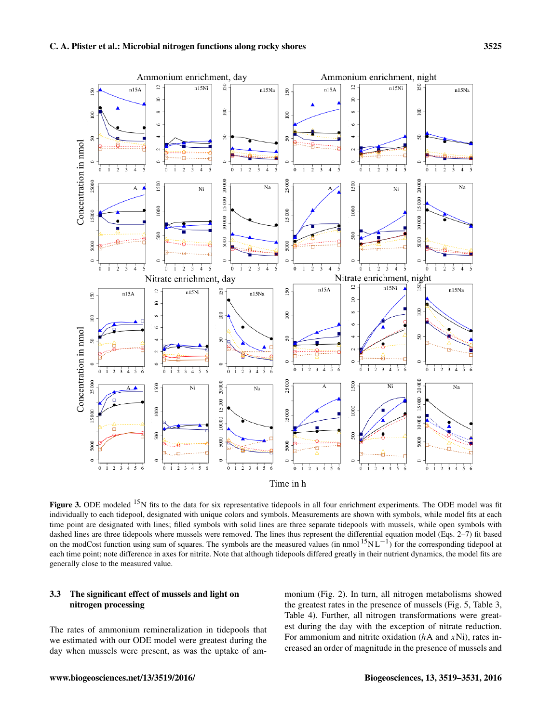

Time in h

Figure 3. ODE modeled  $^{15}N$  fits to the data for six representative tidepools in all four enrichment experiments. The ODE model was fit individually to each tidepool, designated with unique colors and symbols. Measurements are shown with symbols, while model fits at each time point are designated with lines; filled symbols with solid lines are three separate tidepools with mussels, while open symbols with dashed lines are three tidepools where mussels were removed. The lines thus represent the differential equation model (Eqs. 2–7) fit based on the modCost function using sum of squares. The symbols are the measured values (in nmol <sup>15</sup>NL<sup>-1</sup>) for the corresponding tidepool at each time point; note difference in axes for nitrite. Note that although tidepools differed greatly in their nutrient dynamics, the model fits are generally close to the measured value.

# 3.3 The significant effect of mussels and light on nitrogen processing

The rates of ammonium remineralization in tidepools that we estimated with our ODE model were greatest during the day when mussels were present, as was the uptake of ammonium (Fig. 2). In turn, all nitrogen metabolisms showed the greatest rates in the presence of mussels (Fig. 5, Table 3, Table 4). Further, all nitrogen transformations were greatest during the day with the exception of nitrate reduction. For ammonium and nitrite oxidation  $(hA \text{ and } xNi)$ , rates increased an order of magnitude in the presence of mussels and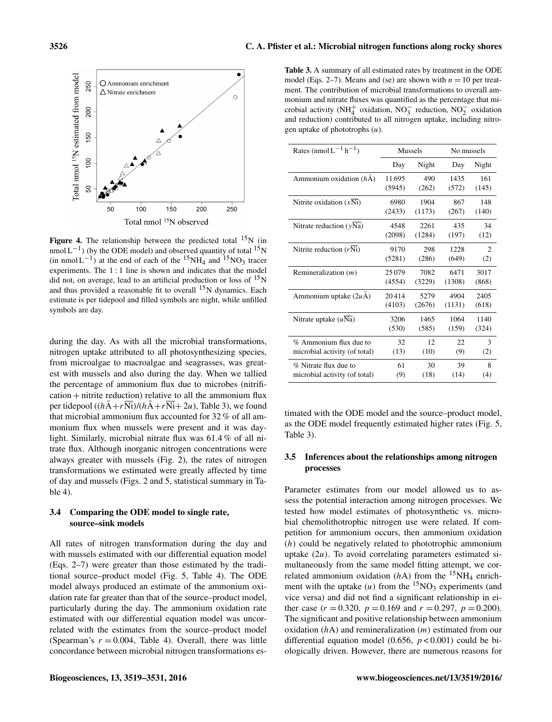

**Figure 4.** The relationship between the predicted total  $15<sup>N</sup>$  (in  $nmol L^{-1}$ ) (by the ODE model) and observed quantity of total <sup>15</sup>N (in nmol L<sup>-1</sup>) at the end of each of the <sup>15</sup>NH<sub>4</sub> and <sup>15</sup>NO<sub>3</sub> tracer experiments. The 1 : 1 line is shown and indicates that the model did not, on average, lead to an artificial production or loss of  $\rm ^{15}N$ and thus provided a reasonable fit to overall  $15N$  dynamics. Each estimate is per tidepool and filled symbols are night, while unfilled symbols are day.

during the day. As with all the microbial transformations, nitrogen uptake attributed to all photosynthesizing species, from microalgae to macroalgae and seagrasses, was greatest with mussels and also during the day. When we tallied the percentage of ammonium flux due to microbes (nitrifi $cation + nitrite reduction)$  relative to all the ammonium flux per tidepool  $((h\overline{A}+r\overline{Ni})/(h\overline{A}+r\overline{Ni}+2u)$ , Table 3), we found that microbial ammonium flux accounted for 32 % of all ammonium flux when mussels were present and it was daylight. Similarly, microbial nitrate flux was 61.4 % of all nitrate flux. Although inorganic nitrogen concentrations were always greater with mussels (Fig. 2), the rates of nitrogen transformations we estimated were greatly affected by time of day and mussels (Figs. 2 and 5, statistical summary in Table 4).

## 3.4 Comparing the ODE model to single rate, source–sink models

All rates of nitrogen transformation during the day and with mussels estimated with our differential equation model (Eqs. 2–7) were greater than those estimated by the traditional source–product model (Fig. 5, Table 4). The ODE model always produced an estimate of the ammonium oxidation rate far greater than that of the source–product model, particularly during the day. The ammonium oxidation rate estimated with our differential equation model was uncorrelated with the estimates from the source–product model (Spearman's  $r = 0.004$ , Table 4). Overall, there was little concordance between microbial nitrogen transformations es-

Table 3. A summary of all estimated rates by treatment in the ODE model (Eqs. 2–7). Means and (se) are shown with  $n = 10$  per treatment. The contribution of microbial transformations to overall ammonium and nitrate fluxes was quantified as the percentage that microbial activity (NH<sup>+</sup> oxidation, NO<sub>3</sub> reduction, NO<sub>2</sub> oxidation and reduction) contributed to all nitrogen uptake, including nitrogen uptake of phototrophs  $(u)$ .

| Rates (nmol $L^{-1}$ h <sup>-1</sup> ) | Mussels |        | No mussels |                |
|----------------------------------------|---------|--------|------------|----------------|
|                                        | Day     | Night  | Day        | Night          |
| Ammonium oxidation $(hA)$              | 11695   | 490    | 1435       | 161            |
|                                        | (5945)  | (262)  | (572)      | (145)          |
| Nitrite oxidation $(xNi)$              | 6980    | 1904   | 867        | 148            |
|                                        | (2433)  | (1173) | (267)      | (140)          |
| Nitrate reduction $(yNa)$              | 4548    | 2261   | 435        | 34             |
|                                        | (2098)  | (1284) | (197)      | (12)           |
| Nitrite reduction $(rNi)$              | 9170    | 298    | 1228       | $\overline{c}$ |
|                                        | (5281)  | (286)  | (649)      | (2)            |
| Remineralization $(m)$                 | 25079   | 7082   | 6471       | 3017           |
|                                        | (4554)  | (3229) | (1308)     | (868)          |
| Ammonium uptake $(2uA)$                | 20414   | 5279   | 4904       | 2405           |
|                                        | (4103)  | (2676) | (1131)     | (618)          |
| Nitrate uptake $(uNa)$                 | 3206    | 1465   | 1064       | 1140           |
|                                        | (530)   | (585)  | (159)      | (324)          |
| $%$ Ammonium flux due to               | 32      | 12     | 22         | 3              |
| microbial activity (of total)          | (13)    | (10)   | (9)        | (2)            |
| % Nitrate flux due to                  | 61      | 30     | 39         | 8              |
| microbial activity (of total)          | (9)     | (18)   | (14)       | (4)            |

timated with the ODE model and the source–product model, as the ODE model frequently estimated higher rates (Fig. 5, Table 3).

## 3.5 Inferences about the relationships among nitrogen processes

Parameter estimates from our model allowed us to assess the potential interaction among nitrogen processes. We tested how model estimates of photosynthetic vs. microbial chemolithotrophic nitrogen use were related. If competition for ammonium occurs, then ammonium oxidation (h) could be negatively related to phototrophic ammonium uptake  $(2u)$ . To avoid correlating parameters estimated simultaneously from the same model fitting attempt, we correlated ammonium oxidation ( $hA$ ) from the <sup>15</sup>NH<sub>4</sub> enrichment with the uptake  $(u)$  from the <sup>15</sup>NO<sub>3</sub> experiments (and vice versa) and did not find a significant relationship in either case  $(r = 0.320, p = 0.169$  and  $r = 0.297, p = 0.200$ . The significant and positive relationship between ammonium oxidation  $(hA)$  and remineralization  $(m)$  estimated from our differential equation model (0.656,  $p < 0.001$ ) could be biologically driven. However, there are numerous reasons for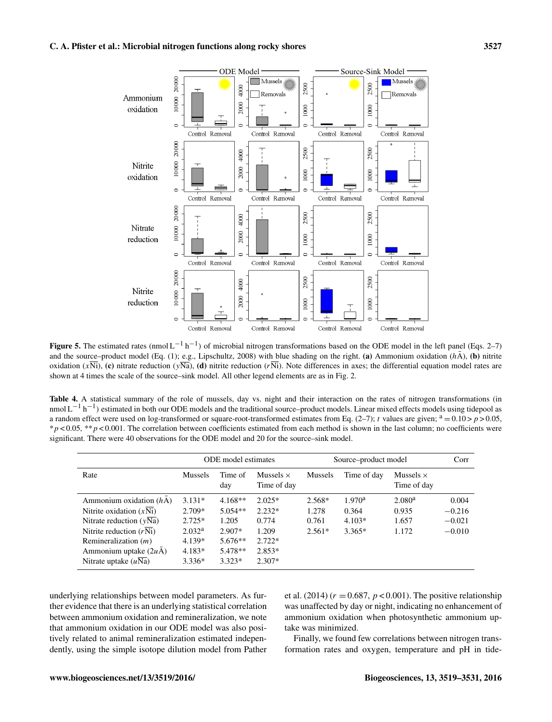

Figure 5. The estimated rates (nmol  $L^{-1}$  h<sup>-1</sup>) of microbial nitrogen transformations based on the ODE model in the left panel (Eqs. 2–7) and the source–product model (Eq. (1); e.g., Lipschultz, 2008) with blue shading on the right. (a) Ammonium oxidation ( $h\bar{A}$ ), (b) nitrite oxidation  $(x\overline{Ni})$ , (c) nitrate reduction  $(y\overline{Na})$ , (d) nitrite reduction  $(r\overline{Ni})$ . Note differences in axes; the differential equation model rates are shown at 4 times the scale of the source–sink model. All other legend elements are as in Fig. 2.

Table 4. A statistical summary of the role of mussels, day vs. night and their interaction on the rates of nitrogen transformations (in nmol L<sup>-1</sup> h<sup>-1</sup>) estimated in both our ODE models and the traditional source–product models. Linear mixed effects models using tidepool as a random effect were used on log-transformed or square-root-transformed estimates from Eq.  $(2-7)$ ; t values are given;  $a = 0.10 > p > 0.05$ ,  $p < 0.05$ ,  $* p < 0.001$ . The correlation between coefficients estimated from each method is shown in the last column; no coefficients were significant. There were 40 observations for the ODE model and 20 for the source–sink model.

|                           | ODE model estimates |                | Source–product model            |          |                    | Corr                            |          |
|---------------------------|---------------------|----------------|---------------------------------|----------|--------------------|---------------------------------|----------|
| Rate                      | Mussels             | Time of<br>day | Mussels $\times$<br>Time of day | Mussels  | Time of day        | Mussels $\times$<br>Time of day |          |
| Ammonium oxidation $(hA)$ | $3.131*$            | $4.168**$      | $2.025*$                        | 2.568*   | 1.970 <sup>a</sup> | 2.080 <sup>a</sup>              | 0.004    |
| Nitrite oxidation $(xNi)$ | $2.709*$            | $5.054**$      | $2.232*$                        | 1.278    | 0.364              | 0.935                           | $-0.216$ |
| Nitrate reduction $(vNa)$ | $2.725*$            | 1.205          | 0.774                           | 0.761    | $4.103*$           | 1.657                           | $-0.021$ |
| Nitrite reduction $(rNi)$ | 2.032 <sup>a</sup>  | $2.907*$       | 1.209                           | $2.561*$ | $3.365*$           | 1.172                           | $-0.010$ |
| Remineralization $(m)$    | $4.139*$            | $5.676**$      | $2.722*$                        |          |                    |                                 |          |
| Ammonium uptake $(2uA)$   | $4.183*$            | 5.478**        | $2.853*$                        |          |                    |                                 |          |
| Nitrate uptake $(uNa)$    | $3.336*$            | $3.323*$       | $2.307*$                        |          |                    |                                 |          |

underlying relationships between model parameters. As further evidence that there is an underlying statistical correlation between ammonium oxidation and remineralization, we note that ammonium oxidation in our ODE model was also positively related to animal remineralization estimated independently, using the simple isotope dilution model from Pather et al. (2014) ( $r = 0.687$ ,  $p < 0.001$ ). The positive relationship was unaffected by day or night, indicating no enhancement of ammonium oxidation when photosynthetic ammonium uptake was minimized.

Finally, we found few correlations between nitrogen transformation rates and oxygen, temperature and pH in tide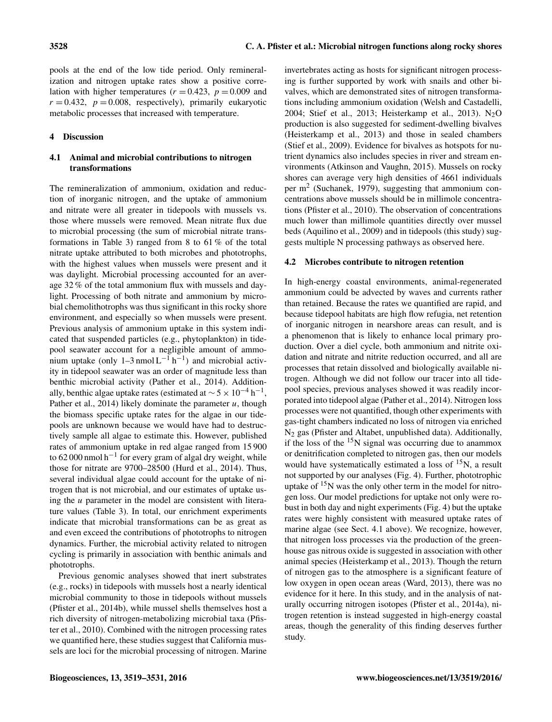pools at the end of the low tide period. Only remineralization and nitrogen uptake rates show a positive correlation with higher temperatures ( $r = 0.423$ ,  $p = 0.009$  and  $r = 0.432$ ,  $p = 0.008$ , respectively), primarily eukaryotic metabolic processes that increased with temperature.

# 4 Discussion

# 4.1 Animal and microbial contributions to nitrogen transformations

The remineralization of ammonium, oxidation and reduction of inorganic nitrogen, and the uptake of ammonium and nitrate were all greater in tidepools with mussels vs. those where mussels were removed. Mean nitrate flux due to microbial processing (the sum of microbial nitrate transformations in Table 3) ranged from 8 to 61 % of the total nitrate uptake attributed to both microbes and phototrophs, with the highest values when mussels were present and it was daylight. Microbial processing accounted for an average 32 % of the total ammonium flux with mussels and daylight. Processing of both nitrate and ammonium by microbial chemolithotrophs was thus significant in this rocky shore environment, and especially so when mussels were present. Previous analysis of ammonium uptake in this system indicated that suspended particles (e.g., phytoplankton) in tidepool seawater account for a negligible amount of ammonium uptake (only 1–3 nmol  $L^{-1}$  h<sup>-1</sup>) and microbial activity in tidepool seawater was an order of magnitude less than benthic microbial activity (Pather et al., 2014). Additionally, benthic algae uptake rates (estimated at  $\sim$  5 × 10<sup>-4</sup> h<sup>-1</sup>, Pather et al., 2014) likely dominate the parameter  $u$ , though the biomass specific uptake rates for the algae in our tidepools are unknown because we would have had to destructively sample all algae to estimate this. However, published rates of ammonium uptake in red algae ranged from 15 900 to 62 000 nmol h−<sup>1</sup> for every gram of algal dry weight, while those for nitrate are 9700–28500 (Hurd et al., 2014). Thus, several individual algae could account for the uptake of nitrogen that is not microbial, and our estimates of uptake using the  $u$  parameter in the model are consistent with literature values (Table 3). In total, our enrichment experiments indicate that microbial transformations can be as great as and even exceed the contributions of phototrophs to nitrogen dynamics. Further, the microbial activity related to nitrogen cycling is primarily in association with benthic animals and phototrophs.

Previous genomic analyses showed that inert substrates (e.g., rocks) in tidepools with mussels host a nearly identical microbial community to those in tidepools without mussels (Pfister et al., 2014b), while mussel shells themselves host a rich diversity of nitrogen-metabolizing microbial taxa (Pfister et al., 2010). Combined with the nitrogen processing rates we quantified here, these studies suggest that California mussels are loci for the microbial processing of nitrogen. Marine invertebrates acting as hosts for significant nitrogen processing is further supported by work with snails and other bivalves, which are demonstrated sites of nitrogen transformations including ammonium oxidation (Welsh and Castadelli, 2004; Stief et al., 2013; Heisterkamp et al., 2013).  $N_2O$ production is also suggested for sediment-dwelling bivalves (Heisterkamp et al., 2013) and those in sealed chambers (Stief et al., 2009). Evidence for bivalves as hotspots for nutrient dynamics also includes species in river and stream environments (Atkinson and Vaughn, 2015). Mussels on rocky shores can average very high densities of 4661 individuals per m<sup>2</sup> (Suchanek, 1979), suggesting that ammonium concentrations above mussels should be in millimole concentrations (Pfister et al., 2010). The observation of concentrations much lower than millimole quantities directly over mussel beds (Aquilino et al., 2009) and in tidepools (this study) suggests multiple N processing pathways as observed here.

# 4.2 Microbes contribute to nitrogen retention

In high-energy coastal environments, animal-regenerated ammonium could be advected by waves and currents rather than retained. Because the rates we quantified are rapid, and because tidepool habitats are high flow refugia, net retention of inorganic nitrogen in nearshore areas can result, and is a phenomenon that is likely to enhance local primary production. Over a diel cycle, both ammonium and nitrite oxidation and nitrate and nitrite reduction occurred, and all are processes that retain dissolved and biologically available nitrogen. Although we did not follow our tracer into all tidepool species, previous analyses showed it was readily incorporated into tidepool algae (Pather et al., 2014). Nitrogen loss processes were not quantified, though other experiments with gas-tight chambers indicated no loss of nitrogen via enriched N<sup>2</sup> gas (Pfister and Altabet, unpublished data). Additionally, if the loss of the  $15N$  signal was occurring due to anammox or denitrification completed to nitrogen gas, then our models would have systematically estimated a loss of  ${}^{15}N$ , a result not supported by our analyses (Fig. 4). Further, phototrophic uptake of <sup>15</sup>N was the only other term in the model for nitrogen loss. Our model predictions for uptake not only were robust in both day and night experiments (Fig. 4) but the uptake rates were highly consistent with measured uptake rates of marine algae (see Sect. 4.1 above). We recognize, however, that nitrogen loss processes via the production of the greenhouse gas nitrous oxide is suggested in association with other animal species (Heisterkamp et al., 2013). Though the return of nitrogen gas to the atmosphere is a significant feature of low oxygen in open ocean areas (Ward, 2013), there was no evidence for it here. In this study, and in the analysis of naturally occurring nitrogen isotopes (Pfister et al., 2014a), nitrogen retention is instead suggested in high-energy coastal areas, though the generality of this finding deserves further study.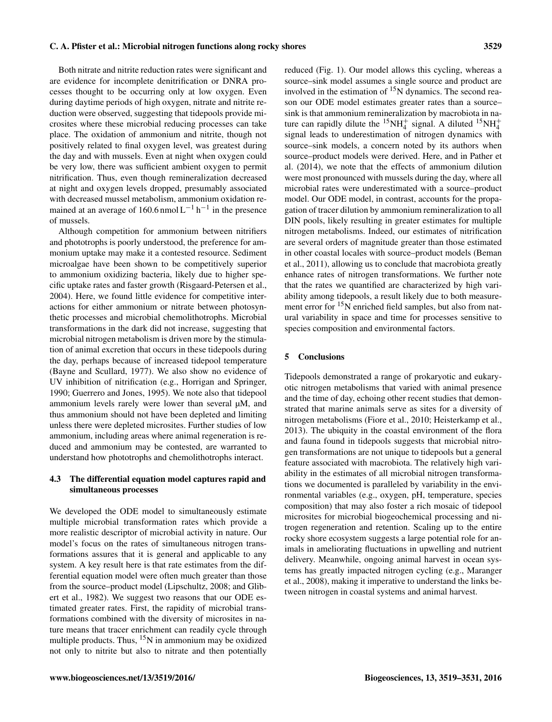# Both nitrate and nitrite reduction rates were significant and are evidence for incomplete denitrification or DNRA processes thought to be occurring only at low oxygen. Even during daytime periods of high oxygen, nitrate and nitrite reduction were observed, suggesting that tidepools provide microsites where these microbial reducing processes can take place. The oxidation of ammonium and nitrite, though not positively related to final oxygen level, was greatest during the day and with mussels. Even at night when oxygen could be very low, there was sufficient ambient oxygen to permit nitrification. Thus, even though remineralization decreased at night and oxygen levels dropped, presumably associated with decreased mussel metabolism, ammonium oxidation remained at an average of 160.6 nmol  $L^{-1}$  h<sup>-1</sup> in the presence of mussels.

Although competition for ammonium between nitrifiers and phototrophs is poorly understood, the preference for ammonium uptake may make it a contested resource. Sediment microalgae have been shown to be competitively superior to ammonium oxidizing bacteria, likely due to higher specific uptake rates and faster growth (Risgaard-Petersen et al., 2004). Here, we found little evidence for competitive interactions for either ammonium or nitrate between photosynthetic processes and microbial chemolithotrophs. Microbial transformations in the dark did not increase, suggesting that microbial nitrogen metabolism is driven more by the stimulation of animal excretion that occurs in these tidepools during the day, perhaps because of increased tidepool temperature (Bayne and Scullard, 1977). We also show no evidence of UV inhibition of nitrification (e.g., Horrigan and Springer, 1990; Guerrero and Jones, 1995). We note also that tidepool ammonium levels rarely were lower than several µM, and thus ammonium should not have been depleted and limiting unless there were depleted microsites. Further studies of low ammonium, including areas where animal regeneration is reduced and ammonium may be contested, are warranted to understand how phototrophs and chemolithotrophs interact.

## 4.3 The differential equation model captures rapid and simultaneous processes

We developed the ODE model to simultaneously estimate multiple microbial transformation rates which provide a more realistic descriptor of microbial activity in nature. Our model's focus on the rates of simultaneous nitrogen transformations assures that it is general and applicable to any system. A key result here is that rate estimates from the differential equation model were often much greater than those from the source–product model (Lipschultz, 2008; and Glibert et al., 1982). We suggest two reasons that our ODE estimated greater rates. First, the rapidity of microbial transformations combined with the diversity of microsites in nature means that tracer enrichment can readily cycle through multiple products. Thus,  $15N$  in ammonium may be oxidized not only to nitrite but also to nitrate and then potentially reduced (Fig. 1). Our model allows this cycling, whereas a source–sink model assumes a single source and product are involved in the estimation of  $15N$  dynamics. The second reason our ODE model estimates greater rates than a source– sink is that ammonium remineralization by macrobiota in nature can rapidly dilute the <sup>15</sup>NH<sub>4</sub><sup>+</sup> signal. A diluted <sup>15</sup>NH<sub>4</sub><sup>+</sup> signal leads to underestimation of nitrogen dynamics with source–sink models, a concern noted by its authors when source–product models were derived. Here, and in Pather et al. (2014), we note that the effects of ammonium dilution were most pronounced with mussels during the day, where all microbial rates were underestimated with a source–product model. Our ODE model, in contrast, accounts for the propagation of tracer dilution by ammonium remineralization to all DIN pools, likely resulting in greater estimates for multiple nitrogen metabolisms. Indeed, our estimates of nitrification are several orders of magnitude greater than those estimated in other coastal locales with source–product models (Beman et al., 2011), allowing us to conclude that macrobiota greatly enhance rates of nitrogen transformations. We further note that the rates we quantified are characterized by high variability among tidepools, a result likely due to both measurement error for  $15N$  enriched field samples, but also from natural variability in space and time for processes sensitive to species composition and environmental factors.

### 5 Conclusions

Tidepools demonstrated a range of prokaryotic and eukaryotic nitrogen metabolisms that varied with animal presence and the time of day, echoing other recent studies that demonstrated that marine animals serve as sites for a diversity of nitrogen metabolisms (Fiore et al., 2010; Heisterkamp et al., 2013). The ubiquity in the coastal environment of the flora and fauna found in tidepools suggests that microbial nitrogen transformations are not unique to tidepools but a general feature associated with macrobiota. The relatively high variability in the estimates of all microbial nitrogen transformations we documented is paralleled by variability in the environmental variables (e.g., oxygen, pH, temperature, species composition) that may also foster a rich mosaic of tidepool microsites for microbial biogeochemical processing and nitrogen regeneration and retention. Scaling up to the entire rocky shore ecosystem suggests a large potential role for animals in ameliorating fluctuations in upwelling and nutrient delivery. Meanwhile, ongoing animal harvest in ocean systems has greatly impacted nitrogen cycling (e.g., Maranger et al., 2008), making it imperative to understand the links between nitrogen in coastal systems and animal harvest.

# C. A. Pfister et al.: Microbial nitrogen functions along rocky shores 3529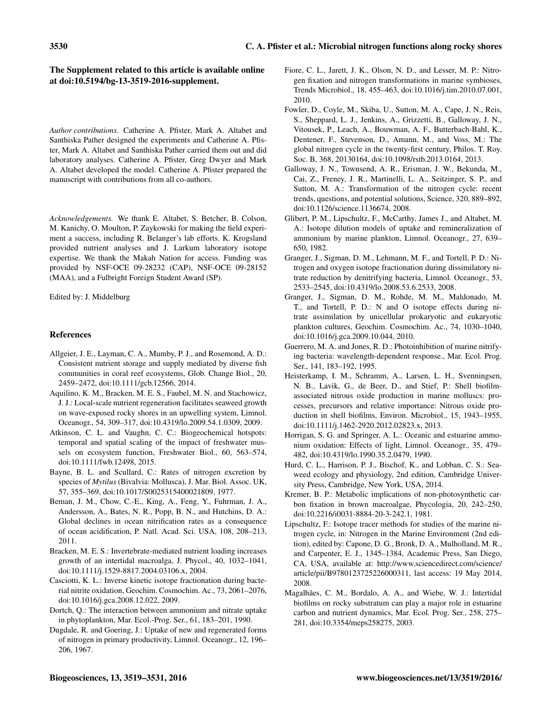# The Supplement related to this article is available online at [doi:10.5194/bg-13-3519-2016-supplement.](http://dx.doi.org/10.5194/bg-13-3519-2016-supplement)

*Author contributions.* Catherine A. Pfister, Mark A. Altabet and Santhiska Pather designed the experiments and Catherine A. Pfister, Mark A. Altabet and Santhiska Pather carried them out and did laboratory analyses. Catherine A. Pfister, Greg Dwyer and Mark A. Altabet developed the model. Catherine A. Pfister prepared the manuscript with contributions from all co-authors.

*Acknowledgements.* We thank E. Altabet, S. Betcher, B. Colson, M. Kanichy, O. Moulton, P. Zaykowski for making the field experiment a success, including R. Belanger's lab efforts. K. Krogsland provided nutrient analyses and J. Larkum laboratory isotope expertise. We thank the Makah Nation for access. Funding was provided by NSF-OCE 09-28232 (CAP), NSF-OCE 09-28152 (MAA), and a Fulbright Foreign Student Award (SP).

Edited by: J. Middelburg

## References

- Allgeier, J. E., Layman, C. A., Mumby, P. J., and Rosemond, A. D.: Consistent nutrient storage and supply mediated by diverse fish communities in coral reef ecosystems, Glob. Change Biol., 20, 2459–2472, doi[:10.1111/gcb.12566,](http://dx.doi.org/10.1111/gcb.12566) 2014.
- Aquilino, K. M., Bracken, M. E. S., Faubel, M. N. and Stachowicz, J. J.: Local-scale nutrient regeneration facilitates seaweed growth on wave-exposed rocky shores in an upwelling system, Limnol. Oceanogr., 54, 309–317, doi[:10.4319/lo.2009.54.1.0309,](http://dx.doi.org/10.4319/lo.2009.54.1.0309) 2009.
- Atkinson, C. L. and Vaughn, C. C.: Biogeochemical hotspots: temporal and spatial scaling of the impact of freshwater mussels on ecosystem function, Freshwater Biol., 60, 563–574, doi[:10.1111/fwb.12498,](http://dx.doi.org/10.1111/fwb.12498) 2015.
- Bayne, B. L. and Scullard, C.: Rates of nitrogen excretion by species of *Mytilus* (Bivalvia: Mollusca), J. Mar. Biol. Assoc. UK, 57, 355–369, doi[:10.1017/S0025315400021809,](http://dx.doi.org/10.1017/S0025315400021809) 1977.
- Beman, J. M., Chow, C.-E., King, A., Feng, Y., Fuhrman, J. A., Andersson, A., Bates, N. R., Popp, B. N., and Hutchins, D. A.: Global declines in ocean nitrification rates as a consequence of ocean acidification, P. Natl. Acad. Sci. USA, 108, 208–213, 2011.
- Bracken, M. E. S.: Invertebrate-mediated nutrient loading increases growth of an intertidal macroalga, J. Phycol., 40, 1032–1041, doi[:10.1111/j.1529-8817.2004.03106.x,](http://dx.doi.org/10.1111/j.1529-8817.2004.03106.x) 2004.
- Casciotti, K. L.: Inverse kinetic isotope fractionation during bacterial nitrite oxidation, Geochim. Cosmochim. Ac., 73, 2061–2076, doi[:10.1016/j.gca.2008.12.022,](http://dx.doi.org/10.1016/j.gca.2008.12.022) 2009.
- Dortch, Q.: The interaction between ammonium and nitrate uptake in phytoplankton, Mar. Ecol.-Prog. Ser., 61, 183–201, 1990.
- Dugdale, R. and Goering, J.: Uptake of new and regenerated forms of nitrogen in primary productivity, Limnol. Oceanogr., 12, 196– 206, 1967.
- Fiore, C. L., Jarett, J. K., Olson, N. D., and Lesser, M. P.: Nitrogen fixation and nitrogen transformations in marine symbioses, Trends Microbiol., 18, 455–463, doi[:10.1016/j.tim.2010.07.001,](http://dx.doi.org/10.1016/j.tim.2010.07.001) 2010.
- Fowler, D., Coyle, M., Skiba, U., Sutton, M. A., Cape, J. N., Reis, S., Sheppard, L. J., Jenkins, A., Grizzetti, B., Galloway, J. N., Vitousek, P., Leach, A., Bouwman, A. F., Butterbach-Bahl, K., Dentener, F., Stevenson, D., Amann, M., and Voss, M.: The global nitrogen cycle in the twenty-first century, Philos. T. Roy. Soc. B, 368, 20130164, doi[:10.1098/rstb.2013.0164,](http://dx.doi.org/10.1098/rstb.2013.0164) 2013.
- Galloway, J. N., Townsend, A. R., Erisman, J. W., Bekunda, M., Cai, Z., Freney, J. R., Martinelli, L. A., Seitzinger, S. P., and Sutton, M. A.: Transformation of the nitrogen cycle: recent trends, questions, and potential solutions, Science, 320, 889–892, doi[:10.1126/science.1136674,](http://dx.doi.org/10.1126/science.1136674) 2008.
- Glibert, P. M., Lipschultz, F., McCarthy, James J., and Altabet, M. A.: Isotope dilution models of uptake and remineralization of ammonium by marine plankton, Limnol. Oceanogr., 27, 639– 650, 1982.
- Granger, J., Sigman, D. M., Lehmann, M. F., and Tortell, P. D.: Nitrogen and oxygen isotope fractionation during dissimilatory nitrate reduction by denitrifying bacteria, Limnol. Oceanogr., 53, 2533–2545, doi[:10.4319/lo.2008.53.6.2533,](http://dx.doi.org/10.4319/lo.2008.53.6.2533) 2008.
- Granger, J., Sigman, D. M., Rohde, M. M., Maldonado, M. T., and Tortell, P. D.: N and O isotope effects during nitrate assimilation by unicellular prokaryotic and eukaryotic plankton cultures, Geochim. Cosmochim. Ac., 74, 1030–1040, doi[:10.1016/j.gca.2009.10.044,](http://dx.doi.org/10.1016/j.gca.2009.10.044) 2010.
- Guerrero, M. A. and Jones, R. D.: Photoinhibition of marine nitrifying bacteria: wavelength-dependent response., Mar. Ecol. Prog. Ser., 141, 183–192, 1995.
- Heisterkamp, I. M., Schramm, A., Larsen, L. H., Svenningsen, N. B., Lavik, G., de Beer, D., and Stief, P.: Shell biofilmassociated nitrous oxide production in marine molluscs: processes, precursors and relative importance: Nitrous oxide production in shell biofilms, Environ. Microbiol., 15, 1943–1955, doi[:10.1111/j.1462-2920.2012.02823.x,](http://dx.doi.org/10.1111/j.1462-2920.2012.02823.x) 2013.
- Horrigan, S. G. and Springer, A. L.: Oceanic and estuarine ammonium oxidation: Effects of light, Limnol. Oceanogr., 35, 479– 482, doi[:10.4319/lo.1990.35.2.0479,](http://dx.doi.org/10.4319/lo.1990.35.2.0479) 1990.
- Hurd, C. L., Harrison, P. J., Bischof, K., and Lobban, C. S.: Seaweed ecology and physiology, 2nd edition, Cambridge University Press, Cambridge, New York, USA, 2014.
- Kremer, B. P.: Metabolic implications of non-photosynthetic carbon fixation in brown macroalgae, Phycologia, 20, 242–250, doi[:10.2216/i0031-8884-20-3-242.1,](http://dx.doi.org/10.2216/i0031-8884-20-3-242.1) 1981.
- Lipschultz, F.: Isotope tracer methods for studies of the marine nitrogen cycle, in: Nitrogen in the Marine Environment (2nd edition), edited by: Capone, D. G., Bronk, D. A., Mulholland, M. R., and Carpenter, E. J., 1345–1384, Academic Press, San Diego, CA, USA, available at: [http://www.sciencedirect.com/science/](http://www.sciencedirect.com/science/article/pii/B9780123725226000311) [article/pii/B9780123725226000311,](http://www.sciencedirect.com/science/article/pii/B9780123725226000311) last access: 19 May 2014, 2008.
- Magalhães, C. M., Bordalo, A. A., and Wiebe, W. J.: Intertidal biofilms on rocky substratum can play a major role in estuarine carbon and nutrient dynamics, Mar. Ecol. Prog. Ser., 258, 275– 281, doi[:10.3354/meps258275,](http://dx.doi.org/10.3354/meps258275) 2003.